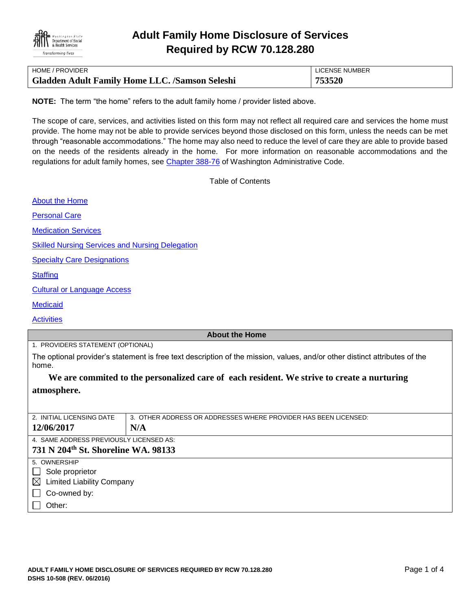

| HOME / PROVIDER                                       | LICENSE NUMBER |
|-------------------------------------------------------|----------------|
| <b>Gladden Adult Family Home LLC. /Samson Seleshi</b> | 753520         |

**NOTE:** The term "the home" refers to the adult family home / provider listed above.

The scope of care, services, and activities listed on this form may not reflect all required care and services the home must provide. The home may not be able to provide services beyond those disclosed on this form, unless the needs can be met through "reasonable accommodations." The home may also need to reduce the level of care they are able to provide based on the needs of the residents already in the home. For more information on reasonable accommodations and the regulations for adult family homes, see [Chapter 388-76](http://apps.leg.wa.gov/WAC/default.aspx?cite=388-76) of Washington Administrative Code.

Table of Contents

[About the Home](#page-0-0)

[Personal Care](#page-1-0)

[Medication Services](#page-1-1)

[Skilled Nursing Services and Nursing Delegation](#page-2-0)

[Specialty Care Designations](#page-2-1)

**[Staffing](#page-2-2)** 

[Cultural or Language Access](#page-2-3)

**[Medicaid](#page-3-0)** 

**[Activities](#page-3-1)** 

#### <span id="page-0-0"></span>**About the Home**

1. PROVIDERS STATEMENT (OPTIONAL)

The optional provider's statement is free text description of the mission, values, and/or other distinct attributes of the home.

# **We are commited to the personalized care of each resident. We strive to create a nurturing atmosphere.**

| 2. INITIAL LICENSING DATE                       | 3. OTHER ADDRESS OR ADDRESSES WHERE PROVIDER HAS BEEN LICENSED: |  |
|-------------------------------------------------|-----------------------------------------------------------------|--|
| 12/06/2017                                      | N/A                                                             |  |
| 4. SAME ADDRESS PREVIOUSLY LICENSED AS:         |                                                                 |  |
| 731 N 204 <sup>th</sup> St. Shoreline WA. 98133 |                                                                 |  |
| 5. OWNERSHIP                                    |                                                                 |  |
| Sole proprietor<br>$\perp$                      |                                                                 |  |
| <b>Limited Liability Company</b><br>$\boxtimes$ |                                                                 |  |
| Co-owned by:<br>$\mathbf{L}$                    |                                                                 |  |
| Other:                                          |                                                                 |  |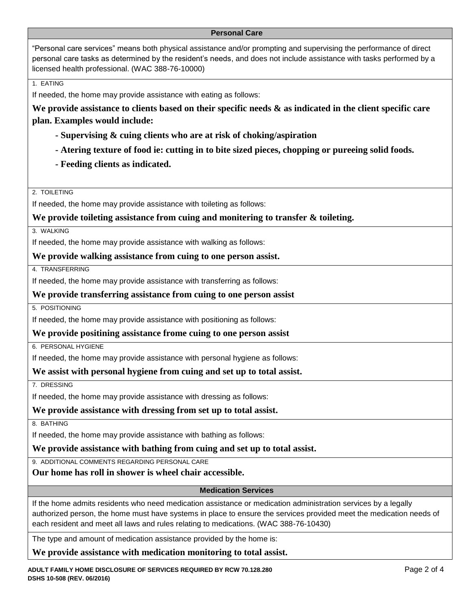#### <span id="page-1-0"></span>**Personal Care**

"Personal care services" means both physical assistance and/or prompting and supervising the performance of direct personal care tasks as determined by the resident's needs, and does not include assistance with tasks performed by a licensed health professional. (WAC 388-76-10000)

1. EATING

If needed, the home may provide assistance with eating as follows:

**We provide assistance to clients based on their specific needs & as indicated in the client specific care plan. Examples would include:**

- **- Supervising & cuing clients who are at risk of choking/aspiration**
- **- Atering texture of food ie: cutting in to bite sized pieces, chopping or pureeing solid foods.**
- **- Feeding clients as indicated.**

2. TOILETING

If needed, the home may provide assistance with toileting as follows:

## **We provide toileting assistance from cuing and monitering to transfer & toileting.**

3. WALKING

If needed, the home may provide assistance with walking as follows:

#### **We provide walking assistance from cuing to one person assist.**

4. TRANSFERRING

If needed, the home may provide assistance with transferring as follows:

#### **We provide transferring assistance from cuing to one person assist**

5. POSITIONING

If needed, the home may provide assistance with positioning as follows:

**We provide positining assistance frome cuing to one person assist**

6. PERSONAL HYGIENE

If needed, the home may provide assistance with personal hygiene as follows:

**We assist with personal hygiene from cuing and set up to total assist.**

7. DRESSING

If needed, the home may provide assistance with dressing as follows:

## **We provide assistance with dressing from set up to total assist.**

8. BATHING

If needed, the home may provide assistance with bathing as follows:

#### **We provide assistance with bathing from cuing and set up to total assist.**

9. ADDITIONAL COMMENTS REGARDING PERSONAL CARE

**Our home has roll in shower is wheel chair accessible.**

<span id="page-1-1"></span>**Medication Services**

If the home admits residents who need medication assistance or medication administration services by a legally authorized person, the home must have systems in place to ensure the services provided meet the medication needs of each resident and meet all laws and rules relating to medications. (WAC 388-76-10430)

The type and amount of medication assistance provided by the home is:

**We provide assistance with medication monitoring to total assist.**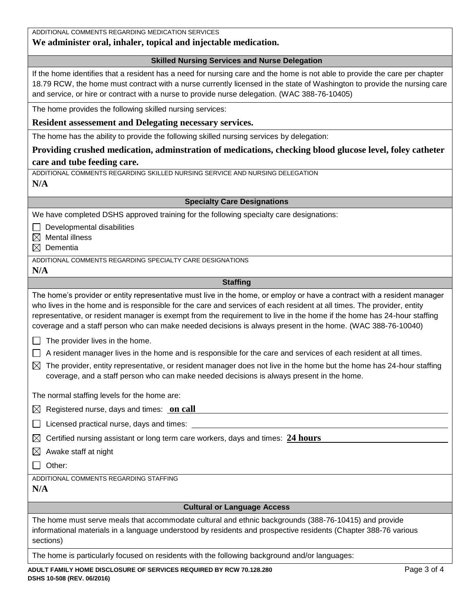<span id="page-2-3"></span><span id="page-2-2"></span><span id="page-2-1"></span><span id="page-2-0"></span>

| ADDITIONAL COMMENTS REGARDING MEDICATION SERVICES<br>We administer oral, inhaler, topical and injectable medication.                                                                                                                                                                                                                                                                                                                                                                         |
|----------------------------------------------------------------------------------------------------------------------------------------------------------------------------------------------------------------------------------------------------------------------------------------------------------------------------------------------------------------------------------------------------------------------------------------------------------------------------------------------|
| <b>Skilled Nursing Services and Nurse Delegation</b>                                                                                                                                                                                                                                                                                                                                                                                                                                         |
| If the home identifies that a resident has a need for nursing care and the home is not able to provide the care per chapter<br>18.79 RCW, the home must contract with a nurse currently licensed in the state of Washington to provide the nursing care<br>and service, or hire or contract with a nurse to provide nurse delegation. (WAC 388-76-10405)                                                                                                                                     |
| The home provides the following skilled nursing services:                                                                                                                                                                                                                                                                                                                                                                                                                                    |
| Resident assessement and Delegating necessary services.                                                                                                                                                                                                                                                                                                                                                                                                                                      |
| The home has the ability to provide the following skilled nursing services by delegation:                                                                                                                                                                                                                                                                                                                                                                                                    |
| Providing crushed medication, adminstration of medications, checking blood glucose level, foley catheter                                                                                                                                                                                                                                                                                                                                                                                     |
| care and tube feeding care.                                                                                                                                                                                                                                                                                                                                                                                                                                                                  |
| ADDITIONAL COMMENTS REGARDING SKILLED NURSING SERVICE AND NURSING DELEGATION<br>N/A                                                                                                                                                                                                                                                                                                                                                                                                          |
| <b>Specialty Care Designations</b>                                                                                                                                                                                                                                                                                                                                                                                                                                                           |
| We have completed DSHS approved training for the following specialty care designations:                                                                                                                                                                                                                                                                                                                                                                                                      |
| Developmental disabilities<br>$\boxtimes$ Mental illness<br>Dementia<br>$\bowtie$                                                                                                                                                                                                                                                                                                                                                                                                            |
| ADDITIONAL COMMENTS REGARDING SPECIALTY CARE DESIGNATIONS<br>N/A                                                                                                                                                                                                                                                                                                                                                                                                                             |
| <b>Staffing</b>                                                                                                                                                                                                                                                                                                                                                                                                                                                                              |
| The home's provider or entity representative must live in the home, or employ or have a contract with a resident manager<br>who lives in the home and is responsible for the care and services of each resident at all times. The provider, entity<br>representative, or resident manager is exempt from the requirement to live in the home if the home has 24-hour staffing<br>coverage and a staff person who can make needed decisions is always present in the home. (WAC 388-76-10040) |
| The provider lives in the home.                                                                                                                                                                                                                                                                                                                                                                                                                                                              |
| A resident manager lives in the home and is responsible for the care and services of each resident at all times.                                                                                                                                                                                                                                                                                                                                                                             |
| The provider, entity representative, or resident manager does not live in the home but the home has 24-hour staffing<br>$\boxtimes$<br>coverage, and a staff person who can make needed decisions is always present in the home.                                                                                                                                                                                                                                                             |
| The normal staffing levels for the home are:                                                                                                                                                                                                                                                                                                                                                                                                                                                 |
| Registered nurse, days and times: on call<br><u> 1980 - Andrea Station, amerikansk politik (d. 1980)</u><br>$\boxtimes$                                                                                                                                                                                                                                                                                                                                                                      |
| Licensed practical nurse, days and times:                                                                                                                                                                                                                                                                                                                                                                                                                                                    |
| Certified nursing assistant or long term care workers, days and times: 24 hours<br>$\boxtimes$                                                                                                                                                                                                                                                                                                                                                                                               |
| Awake staff at night<br>$\boxtimes$                                                                                                                                                                                                                                                                                                                                                                                                                                                          |
| Other:                                                                                                                                                                                                                                                                                                                                                                                                                                                                                       |
| ADDITIONAL COMMENTS REGARDING STAFFING                                                                                                                                                                                                                                                                                                                                                                                                                                                       |
| N/A                                                                                                                                                                                                                                                                                                                                                                                                                                                                                          |
| <b>Cultural or Language Access</b>                                                                                                                                                                                                                                                                                                                                                                                                                                                           |
| The home must serve meals that accommodate cultural and ethnic backgrounds (388-76-10415) and provide<br>informational materials in a language understood by residents and prospective residents (Chapter 388-76 various<br>sections)                                                                                                                                                                                                                                                        |
| The home is particularly focused on residents with the following background and/or languages:                                                                                                                                                                                                                                                                                                                                                                                                |